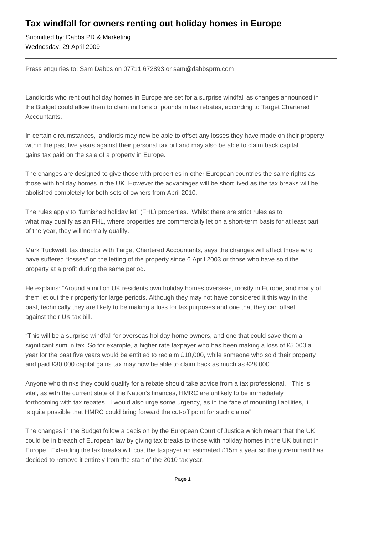# **Tax windfall for owners renting out holiday homes in Europe**

Submitted by: Dabbs PR & Marketing Wednesday, 29 April 2009

Press enquiries to: Sam Dabbs on 07711 672893 or sam@dabbsprm.com

Landlords who rent out holiday homes in Europe are set for a surprise windfall as changes announced in the Budget could allow them to claim millions of pounds in tax rebates, according to Target Chartered Accountants.

In certain circumstances, landlords may now be able to offset any losses they have made on their property within the past five years against their personal tax bill and may also be able to claim back capital gains tax paid on the sale of a property in Europe.

The changes are designed to give those with properties in other European countries the same rights as those with holiday homes in the UK. However the advantages will be short lived as the tax breaks will be abolished completely for both sets of owners from April 2010.

The rules apply to "furnished holiday let" (FHL) properties. Whilst there are strict rules as to what may qualify as an FHL, where properties are commercially let on a short-term basis for at least part of the year, they will normally qualify.

Mark Tuckwell, tax director with Target Chartered Accountants, says the changes will affect those who have suffered "losses" on the letting of the property since 6 April 2003 or those who have sold the property at a profit during the same period.

He explains: "Around a million UK residents own holiday homes overseas, mostly in Europe, and many of them let out their property for large periods. Although they may not have considered it this way in the past, technically they are likely to be making a loss for tax purposes and one that they can offset against their UK tax bill.

"This will be a surprise windfall for overseas holiday home owners, and one that could save them a significant sum in tax. So for example, a higher rate taxpayer who has been making a loss of £5,000 a year for the past five years would be entitled to reclaim £10,000, while someone who sold their property and paid £30,000 capital gains tax may now be able to claim back as much as £28,000.

Anyone who thinks they could qualify for a rebate should take advice from a tax professional. "This is vital, as with the current state of the Nation's finances, HMRC are unlikely to be immediately forthcoming with tax rebates. I would also urge some urgency, as in the face of mounting liabilities, it is quite possible that HMRC could bring forward the cut-off point for such claims"

The changes in the Budget follow a decision by the European Court of Justice which meant that the UK could be in breach of European law by giving tax breaks to those with holiday homes in the UK but not in Europe. Extending the tax breaks will cost the taxpayer an estimated £15m a year so the government has decided to remove it entirely from the start of the 2010 tax year.